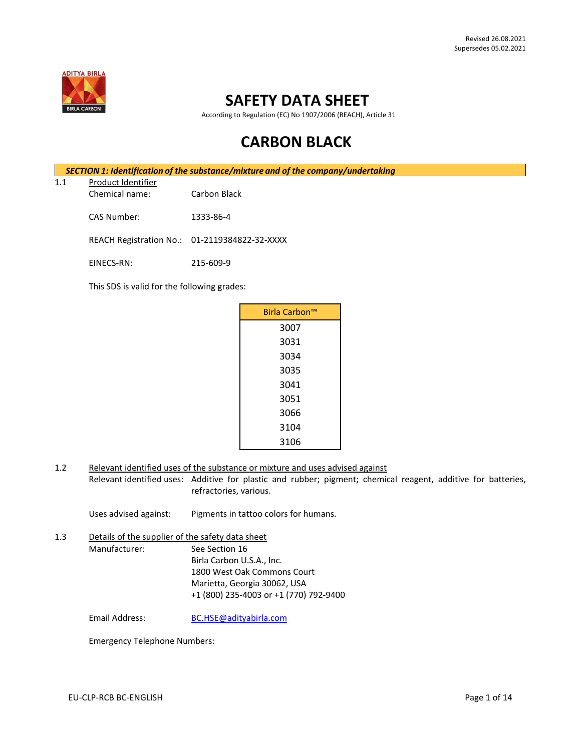

# **SAFETY DATA SHEET**

According to Regulation (EC) No 1907/2006 (REACH), Article 31

# **CARBON BLACK**

*SECTION 1: Identification of the substance/mixture and of the company/undertaking*

1.1 Product Identifier

Chemical name: Carbon Black

CAS Number: 1333-86-4

REACH Registration No.: 01-2119384822-32-XXXX

EINECS-RN: 215-609-9

This SDS is valid for the following grades:

| Birla Carbon™ |  |
|---------------|--|
| 3007          |  |
| 3031          |  |
| 3034          |  |
| 3035          |  |
| 3041          |  |
| 3051          |  |
| 3066          |  |
| 3104          |  |
| 3106          |  |

1.2 Relevant identified uses of the substance or mixture and uses advised against Relevant identified uses: Additive for plastic and rubber; pigment; chemical reagent, additive for batteries, refractories, various.

Uses advised against: Pigments in tattoo colors for humans.

1.3 Details of the supplier of the safety data sheet Manufacturer: See Section 16 Birla Carbon U.S.A., Inc. 1800 West Oak Commons Court Marietta, Georgia 30062, USA +1 (800) 235-4003 or +1 (770) 792-9400

Email Address: [BC.HSE@adityabirla.com](mailto:BC.HSE@adityabirla.com)

Emergency Telephone Numbers: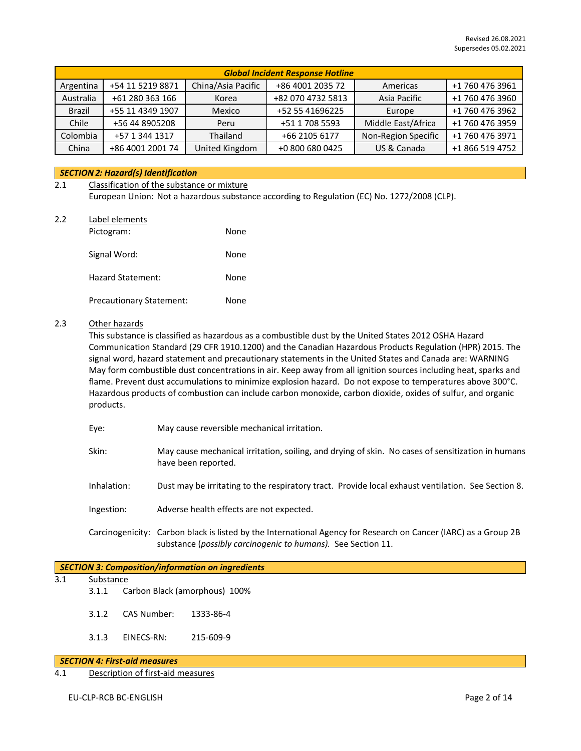| <b>Global Incident Response Hotline</b> |                  |                    |                   |                     |                 |
|-----------------------------------------|------------------|--------------------|-------------------|---------------------|-----------------|
| Argentina                               | +54 11 5219 8871 | China/Asia Pacific | +86 4001 2035 72  | Americas            | +1 760 476 3961 |
| Australia                               | +61 280 363 166  | Korea              | +82 070 4732 5813 | Asia Pacific        | +1 760 476 3960 |
| Brazil                                  | +55 11 4349 1907 | Mexico             | +52 55 41696225   | Europe              | +1 760 476 3962 |
| Chile                                   | +56 44 8905208   | Peru               | +51 1 708 5593    | Middle East/Africa  | +1 760 476 3959 |
| Colombia                                | +57 1 344 1317   | Thailand           | +66 2105 6177     | Non-Region Specific | +1 760 476 3971 |
| China                                   | +86 4001 2001 74 | United Kingdom     | +0 800 680 0425   | US & Canada         | +1 866 519 4752 |

# *SECTION 2: Hazard(s) Identification*

### 2.1 Classification of the substance or mixture

European Union: Not a hazardous substance according to Regulation (EC) No. 1272/2008 (CLP).

#### 2.2 Label elements

| Pictogram:                      | None |
|---------------------------------|------|
| Signal Word:                    | None |
| Hazard Statement:               | None |
| <b>Precautionary Statement:</b> | None |

#### 2.3 Other hazards

This substance is classified as hazardous as a combustible dust by the United States 2012 OSHA Hazard Communication Standard (29 CFR 1910.1200) and the Canadian Hazardous Products Regulation (HPR) 2015. The signal word, hazard statement and precautionary statements in the United States and Canada are: WARNING May form combustible dust concentrations in air. Keep away from all ignition sources including heat, sparks and flame. Prevent dust accumulations to minimize explosion hazard. Do not expose to temperatures above 300°C. Hazardous products of combustion can include carbon monoxide, carbon dioxide, oxides of sulfur, and organic products.

- Eye: May cause reversible mechanical irritation.
- Skin: May cause mechanical irritation, soiling, and drying of skin. No cases of sensitization in humans have been reported.
- Inhalation: Dust may be irritating to the respiratory tract. Provide local exhaust ventilation. See Section 8.
- Ingestion: Adverse health effects are not expected.
- Carcinogenicity: Carbon black is listed by the International Agency for Research on Cancer (IARC) as a Group 2B substance (*possibly carcinogenic to humans).* See Section 11.

# *SECTION 3: Composition/information on ingredients*

- 3.1 Substance
	- 3.1.1 Carbon Black (amorphous) 100%
		- 3.1.2 CAS Number: 1333-86-4
		- 3.1.3 EINECS-RN: 215-609-9

# *SECTION 4: First-aid measures*

4.1 Description of first-aid measures

EU-CLP-RCB BC-ENGLISH Page 2 of 14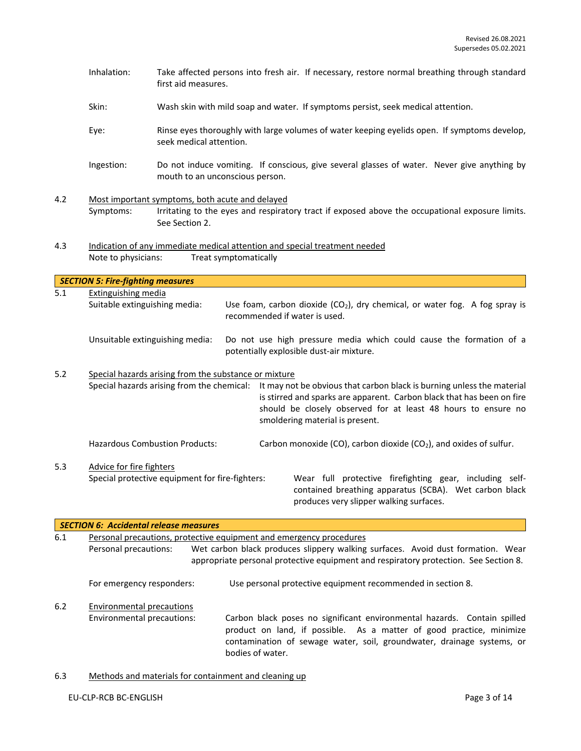|     | Inhalation:                                                            | Take affected persons into fresh air. If necessary, restore normal breathing through standard<br>first aid measures.                                                                                                                                                                               |
|-----|------------------------------------------------------------------------|----------------------------------------------------------------------------------------------------------------------------------------------------------------------------------------------------------------------------------------------------------------------------------------------------|
|     | Skin:                                                                  | Wash skin with mild soap and water. If symptoms persist, seek medical attention.                                                                                                                                                                                                                   |
|     | Eye:                                                                   | Rinse eyes thoroughly with large volumes of water keeping eyelids open. If symptoms develop,<br>seek medical attention.                                                                                                                                                                            |
|     | Ingestion:                                                             | Do not induce vomiting. If conscious, give several glasses of water. Never give anything by<br>mouth to an unconscious person.                                                                                                                                                                     |
| 4.2 |                                                                        | Most important symptoms, both acute and delayed                                                                                                                                                                                                                                                    |
|     | Symptoms:                                                              | Irritating to the eyes and respiratory tract if exposed above the occupational exposure limits.<br>See Section 2.                                                                                                                                                                                  |
| 4.3 |                                                                        | Indication of any immediate medical attention and special treatment needed                                                                                                                                                                                                                         |
|     | Note to physicians:                                                    | Treat symptomatically                                                                                                                                                                                                                                                                              |
|     |                                                                        |                                                                                                                                                                                                                                                                                                    |
| 5.1 | <b>SECTION 5: Fire-fighting measures</b><br><b>Extinguishing media</b> |                                                                                                                                                                                                                                                                                                    |
|     | Suitable extinguishing media:                                          | Use foam, carbon dioxide $(CO_2)$ , dry chemical, or water fog. A fog spray is<br>recommended if water is used.                                                                                                                                                                                    |
|     |                                                                        | Unsuitable extinguishing media:<br>Do not use high pressure media which could cause the formation of a<br>potentially explosible dust-air mixture.                                                                                                                                                 |
| 5.2 |                                                                        | Special hazards arising from the substance or mixture                                                                                                                                                                                                                                              |
|     |                                                                        | Special hazards arising from the chemical:<br>It may not be obvious that carbon black is burning unless the material<br>is stirred and sparks are apparent. Carbon black that has been on fire<br>should be closely observed for at least 48 hours to ensure no<br>smoldering material is present. |
|     |                                                                        | <b>Hazardous Combustion Products:</b><br>Carbon monoxide (CO), carbon dioxide (CO <sub>2</sub> ), and oxides of sulfur.                                                                                                                                                                            |
| 5.3 | Advice for fire fighters                                               | Special protective equipment for fire-fighters:<br>Wear full protective firefighting gear, including self-<br>contained breathing apparatus (SCBA). Wet carbon black<br>produces very slipper walking surfaces.                                                                                    |
|     |                                                                        | <b>SECTION 6: Accidental release measures</b>                                                                                                                                                                                                                                                      |
| 6.1 | Personal precautions:                                                  | Personal precautions, protective equipment and emergency procedures<br>Wet carbon black produces slippery walking surfaces. Avoid dust formation. Wear<br>appropriate personal protective equipment and respiratory protection. See Section 8.                                                     |
|     | For emergency responders:                                              | Use personal protective equipment recommended in section 8.                                                                                                                                                                                                                                        |

6.2 Environmental precautions Environmental precautions: Carbon black poses no significant environmental hazards. Contain spilled product on land, if possible. As a matter of good practice, minimize contamination of sewage water, soil, groundwater, drainage systems, or bodies of water.

# 6.3 Methods and materials for containment and cleaning up

### EU-CLP-RCB BC-ENGLISH Page 3 of 14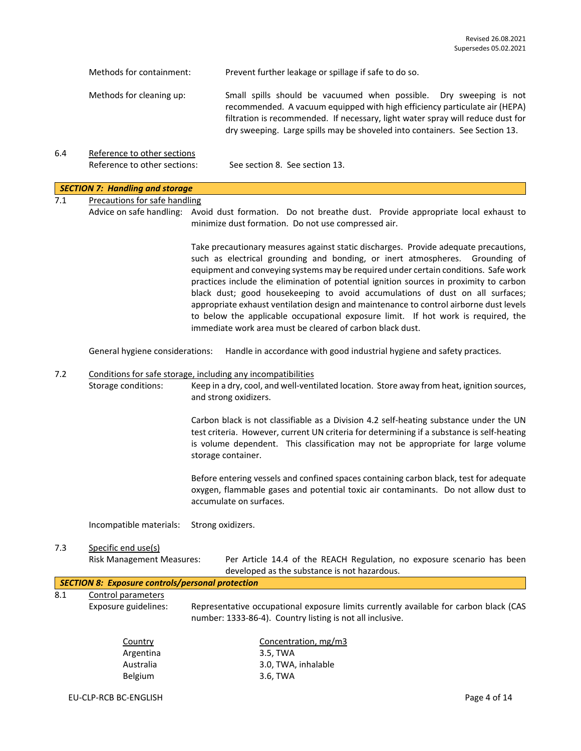|     | Methods for containment:                                    | Prevent further leakage or spillage if safe to do so.                                                                                                                                                                                                                                                              |
|-----|-------------------------------------------------------------|--------------------------------------------------------------------------------------------------------------------------------------------------------------------------------------------------------------------------------------------------------------------------------------------------------------------|
|     | Methods for cleaning up:                                    | Small spills should be vacuumed when possible. Dry sweeping is not<br>recommended. A vacuum equipped with high efficiency particulate air (HEPA)<br>filtration is recommended. If necessary, light water spray will reduce dust for<br>dry sweeping. Large spills may be shoveled into containers. See Section 13. |
| 6.4 | Reference to other sections<br>Reference to other sections: | See section 8. See section 13.                                                                                                                                                                                                                                                                                     |

# *SECTION 7: Handling and storage*

7.1 Precautions for safe handling

Advice on safe handling: Avoid dust formation. Do not breathe dust. Provide appropriate local exhaust to minimize dust formation. Do not use compressed air.

> Take precautionary measures against static discharges. Provide adequate precautions, such as electrical grounding and bonding, or inert atmospheres. Grounding of equipment and conveying systems may be required under certain conditions. Safe work practices include the elimination of potential ignition sources in proximity to carbon black dust; good housekeeping to avoid accumulations of dust on all surfaces; appropriate exhaust ventilation design and maintenance to control airborne dust levels to below the applicable occupational exposure limit. If hot work is required, the immediate work area must be cleared of carbon black dust.

General hygiene considerations: Handle in accordance with good industrial hygiene and safety practices.

#### 7.2 Conditions for safe storage, including any incompatibilities

Storage conditions: Keep in a dry, cool, and well-ventilated location. Store away from heat, ignition sources, and strong oxidizers.

> Carbon black is not classifiable as a Division 4.2 self-heating substance under the UN test criteria. However, current UN criteria for determining if a substance is self-heating is volume dependent. This classification may not be appropriate for large volume storage container.

> Before entering vessels and confined spaces containing carbon black, test for adequate oxygen, flammable gases and potential toxic air contaminants. Do not allow dust to accumulate on surfaces.

Incompatible materials: Strong oxidizers.

Belgium 3.6, TWA

# 7.3 Specific end use(s)

Risk Management Measures: Per Article 14.4 of the REACH Regulation, no exposure scenario has been developed as the substance is not hazardous.

|     | <b>SECTION 8: Exposure controls/personal protection</b> |                                                                                                                                                    |  |
|-----|---------------------------------------------------------|----------------------------------------------------------------------------------------------------------------------------------------------------|--|
| 8.1 | Control parameters                                      |                                                                                                                                                    |  |
|     | Exposure guidelines:                                    | Representative occupational exposure limits currently available for carbon black (CAS<br>number: 1333-86-4). Country listing is not all inclusive. |  |
|     | Country                                                 | Concentration, mg/m3                                                                                                                               |  |
|     | Argentina                                               | 3.5, TWA                                                                                                                                           |  |
|     | Australia                                               | 3.0, TWA, inhalable                                                                                                                                |  |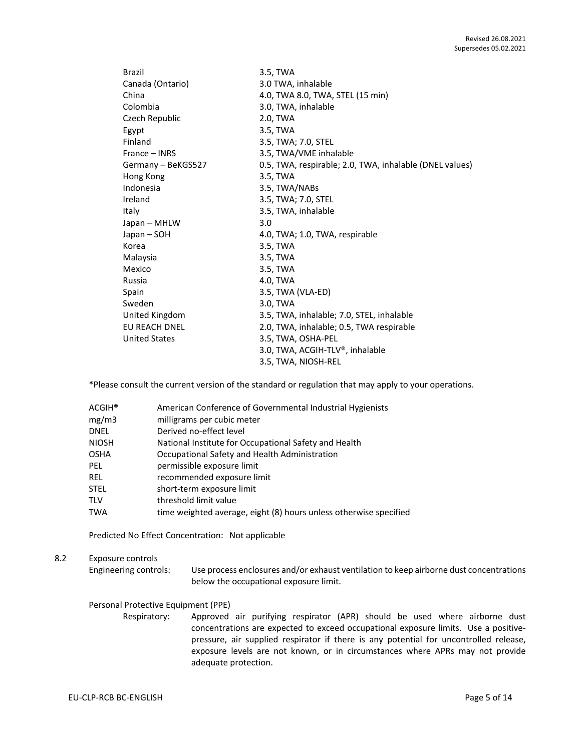| Brazil               | 3.5, TWA                                                |
|----------------------|---------------------------------------------------------|
| Canada (Ontario)     | 3.0 TWA, inhalable                                      |
| China                | 4.0, TWA 8.0, TWA, STEL (15 min)                        |
| Colombia             | 3.0, TWA, inhalable                                     |
| Czech Republic       | 2.0, TWA                                                |
| Egypt                | 3.5, TWA                                                |
| Finland              | 3.5, TWA; 7.0, STEL                                     |
| France – INRS        | 3.5, TWA/VME inhalable                                  |
| Germany - BeKGS527   | 0.5, TWA, respirable; 2.0, TWA, inhalable (DNEL values) |
| Hong Kong            | 3.5, TWA                                                |
| Indonesia            | 3.5, TWA/NABs                                           |
| Ireland              | 3.5, TWA; 7.0, STEL                                     |
| Italy                | 3.5, TWA, inhalable                                     |
| Japan - MHLW         | 3.0                                                     |
| Japan – SOH          | 4.0, TWA; 1.0, TWA, respirable                          |
| Korea                | 3.5, TWA                                                |
| Malaysia             | 3.5, TWA                                                |
| Mexico               | 3.5, TWA                                                |
| Russia               | 4.0, TWA                                                |
| Spain                | 3.5, TWA (VLA-ED)                                       |
| Sweden               | 3.0, TWA                                                |
| United Kingdom       | 3.5, TWA, inhalable; 7.0, STEL, inhalable               |
| EU REACH DNEL        | 2.0, TWA, inhalable; 0.5, TWA respirable                |
| <b>United States</b> | 3.5, TWA, OSHA-PEL                                      |
|                      | 3.0, TWA, ACGIH-TLV®, inhalable                         |
|                      | 3.5, TWA, NIOSH-REL                                     |

\*Please consult the current version of the standard or regulation that may apply to your operations.

| $ACGIH^*$    | American Conference of Governmental Industrial Hygienists         |
|--------------|-------------------------------------------------------------------|
| mg/m3        | milligrams per cubic meter                                        |
| <b>DNEL</b>  | Derived no-effect level                                           |
| <b>NIOSH</b> | National Institute for Occupational Safety and Health             |
| <b>OSHA</b>  | Occupational Safety and Health Administration                     |
| PEL.         | permissible exposure limit                                        |
| REL.         | recommended exposure limit                                        |
| <b>STEL</b>  | short-term exposure limit                                         |
| <b>TLV</b>   | threshold limit value                                             |
| <b>TWA</b>   | time weighted average, eight (8) hours unless otherwise specified |

Predicted No Effect Concentration: Not applicable

# 8.2 Exposure controls

Engineering controls: Use process enclosures and/or exhaust ventilation to keep airborne dust concentrations below the occupational exposure limit.

# Personal Protective Equipment (PPE)

Respiratory: Approved air purifying respirator (APR) should be used where airborne dust concentrations are expected to exceed occupational exposure limits. Use a positivepressure, air supplied respirator if there is any potential for uncontrolled release, exposure levels are not known, or in circumstances where APRs may not provide adequate protection.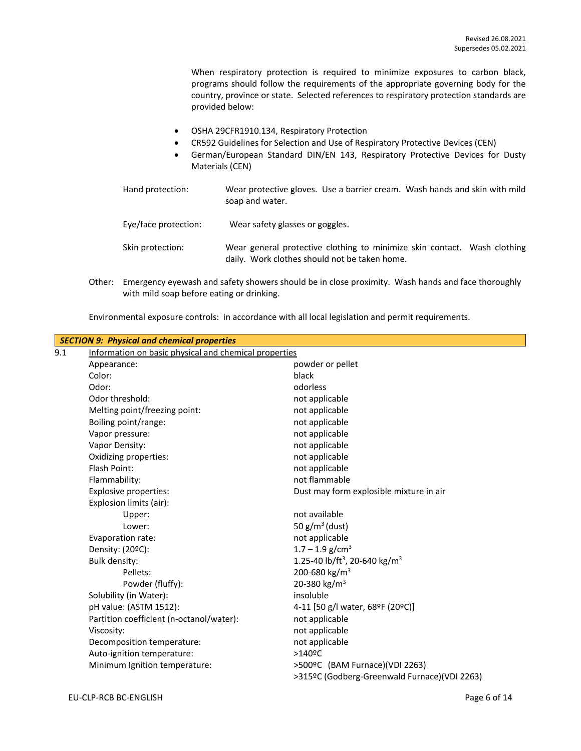When respiratory protection is required to minimize exposures to carbon black, programs should follow the requirements of the appropriate governing body for the country, province or state. Selected references to respiratory protection standards are provided below:

- OSHA 29CFR1910.134, Respiratory Protection
- CR592 Guidelines for Selection and Use of Respiratory Protective Devices (CEN)
- German/European Standard DIN/EN 143, Respiratory Protective Devices for Dusty Materials (CEN)
- Hand protection: Wear protective gloves. Use a barrier cream. Wash hands and skin with mild soap and water. Eye/face protection: Wear safety glasses or goggles. Skin protection: Wear general protective clothing to minimize skin contact. Wash clothing daily. Work clothes should not be taken home.
- Other: Emergency eyewash and safety showers should be in close proximity. Wash hands and face thoroughly with mild soap before eating or drinking.

Environmental exposure controls: in accordance with all local legislation and permit requirements.

|     | <b>SECTION 9: Physical and chemical properties</b>    |                                                       |
|-----|-------------------------------------------------------|-------------------------------------------------------|
| 9.1 | Information on basic physical and chemical properties |                                                       |
|     | Appearance:                                           | powder or pellet                                      |
|     | Color:                                                | black                                                 |
|     | Odor:                                                 | odorless                                              |
|     | Odor threshold:                                       | not applicable                                        |
|     | Melting point/freezing point:                         | not applicable                                        |
|     | Boiling point/range:                                  | not applicable                                        |
|     | Vapor pressure:                                       | not applicable                                        |
|     | Vapor Density:                                        | not applicable                                        |
|     | Oxidizing properties:                                 | not applicable                                        |
|     | Flash Point:                                          | not applicable                                        |
|     | Flammability:                                         | not flammable                                         |
|     | <b>Explosive properties:</b>                          | Dust may form explosible mixture in air               |
|     | Explosion limits (air):                               |                                                       |
|     | Upper:                                                | not available                                         |
|     | Lower:                                                | 50 $g/m^3$ (dust)                                     |
|     | Evaporation rate:                                     | not applicable                                        |
|     | Density: (20°C):                                      | $1.7 - 1.9$ g/cm <sup>3</sup>                         |
|     | <b>Bulk density:</b>                                  | 1.25-40 lb/ft <sup>3</sup> , 20-640 kg/m <sup>3</sup> |
|     | Pellets:                                              | 200-680 kg/m <sup>3</sup>                             |
|     | Powder (fluffy):                                      | 20-380 kg/m <sup>3</sup>                              |
|     | Solubility (in Water):                                | insoluble                                             |
|     | pH value: (ASTM 1512):                                | 4-11 [50 g/l water, 68ºF (20ºC)]                      |
|     | Partition coefficient (n-octanol/water):              | not applicable                                        |
|     | Viscosity:                                            | not applicable                                        |
|     | Decomposition temperature:                            | not applicable                                        |
|     | Auto-ignition temperature:                            | $>140$ <sup>o</sup> C                                 |
|     | Minimum Ignition temperature:                         | >500ºC (BAM Furnace)(VDI 2263)                        |
|     |                                                       | >315ºC (Godberg-Greenwald Furnace)(VDI 2263)          |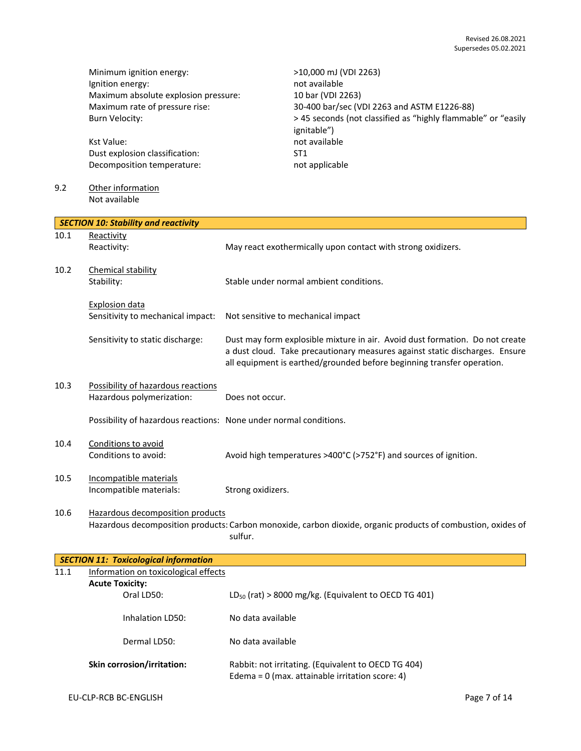Minimum ignition energy:<br>
lgnition energy:  $\frac{10,000 \text{ mJ (VDI 2263)}}{1000 \text{ mJ (VDI 2263)}}$ Ignition energy: Maximum absolute explosion pressure: 10 bar (VDI 2263)

Kst Value: not available Dust explosion classification: ST1 Decomposition temperature: not applicable

### 9.2 Other information Not available

Maximum rate of pressure rise: 30-400 bar/sec (VDI 2263 and ASTM E1226-88) Burn Velocity:  $> 45$  seconds (not classified as "highly flammable" or "easily ignitable")

|      | <b>SECTION 10: Stability and reactivity</b>                       |                                                                                                                                                                                                                                       |
|------|-------------------------------------------------------------------|---------------------------------------------------------------------------------------------------------------------------------------------------------------------------------------------------------------------------------------|
| 10.1 | Reactivity                                                        |                                                                                                                                                                                                                                       |
|      | Reactivity:                                                       | May react exothermically upon contact with strong oxidizers.                                                                                                                                                                          |
| 10.2 | Chemical stability                                                |                                                                                                                                                                                                                                       |
|      | Stability:                                                        | Stable under normal ambient conditions.                                                                                                                                                                                               |
|      | <b>Explosion data</b>                                             |                                                                                                                                                                                                                                       |
|      | Sensitivity to mechanical impact:                                 | Not sensitive to mechanical impact                                                                                                                                                                                                    |
|      | Sensitivity to static discharge:                                  | Dust may form explosible mixture in air. Avoid dust formation. Do not create<br>a dust cloud. Take precautionary measures against static discharges. Ensure<br>all equipment is earthed/grounded before beginning transfer operation. |
| 10.3 | Possibility of hazardous reactions                                |                                                                                                                                                                                                                                       |
|      | Hazardous polymerization:                                         | Does not occur.                                                                                                                                                                                                                       |
|      | Possibility of hazardous reactions: None under normal conditions. |                                                                                                                                                                                                                                       |
| 10.4 | Conditions to avoid                                               |                                                                                                                                                                                                                                       |
|      | Conditions to avoid:                                              | Avoid high temperatures >400°C (>752°F) and sources of ignition.                                                                                                                                                                      |
| 10.5 | Incompatible materials                                            |                                                                                                                                                                                                                                       |
|      | Incompatible materials:                                           | Strong oxidizers.                                                                                                                                                                                                                     |
| 10.6 | Hazardous decomposition products                                  |                                                                                                                                                                                                                                       |
|      |                                                                   | Hazardous decomposition products: Carbon monoxide, carbon dioxide, organic products of combustion, oxides of                                                                                                                          |

sulfur.

|      | <b>SECTION 11: Toxicological information</b> |                                                                                                          |
|------|----------------------------------------------|----------------------------------------------------------------------------------------------------------|
| 11.1 | Information on toxicological effects         |                                                                                                          |
|      | <b>Acute Toxicity:</b>                       |                                                                                                          |
|      | Oral LD50:                                   | $LD_{50}$ (rat) > 8000 mg/kg. (Equivalent to OECD TG 401)                                                |
|      | Inhalation LD50:                             | No data available                                                                                        |
|      | Dermal LD50:                                 | No data available                                                                                        |
|      | <b>Skin corrosion/irritation:</b>            | Rabbit: not irritating. (Equivalent to OECD TG 404)<br>Edema = $0$ (max. attainable irritation score: 4) |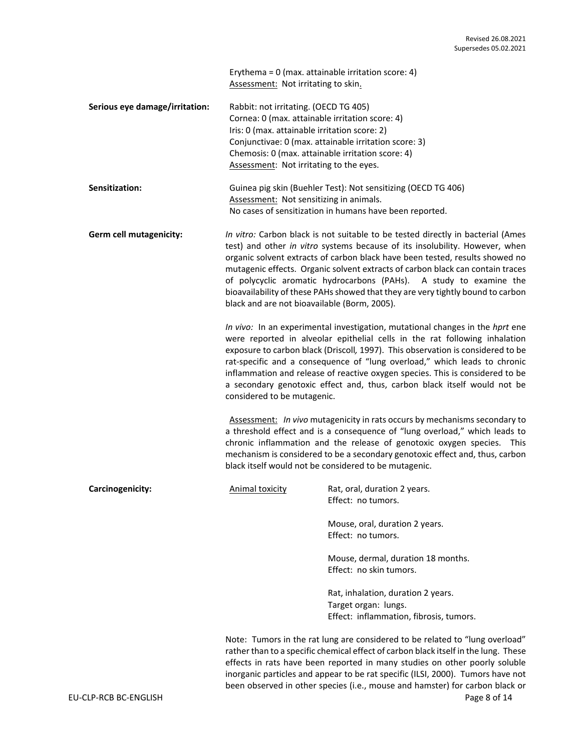Erythema = 0 (max. attainable irritation score: 4) Assessment: Not irritating to skin.

| Serious eye damage/irritation: | Rabbit: not irritating. (OECD TG 405)                 |
|--------------------------------|-------------------------------------------------------|
|                                | Cornea: 0 (max. attainable irritation score: 4)       |
|                                | Iris: 0 (max. attainable irritation score: 2)         |
|                                | Conjunctivae: 0 (max. attainable irritation score: 3) |
|                                | Chemosis: 0 (max. attainable irritation score: 4)     |
|                                | Assessment: Not irritating to the eyes.               |

| <b>Sensitization:</b> | Guinea pig skin (Buehler Test): Not sensitizing (OECD TG 406) |
|-----------------------|---------------------------------------------------------------|
|                       | Assessment: Not sensitizing in animals.                       |
|                       | No cases of sensitization in humans have been reported.       |

**Germ cell mutagenicity:** *In vitro:* Carbon black is not suitable to be tested directly in bacterial (Ames test) and other *in vitro* systems because of its insolubility. However, when organic solvent extracts of carbon black have been tested, results showed no mutagenic effects. Organic solvent extracts of carbon black can contain traces of polycyclic aromatic hydrocarbons (PAHs). A study to examine the bioavailability of these PAHs showed that they are very tightly bound to carbon black and are not bioavailable (Borm, 2005).

> *In vivo:* In an experimental investigation, mutational changes in the *hprt* ene were reported in alveolar epithelial cells in the rat following inhalation exposure to carbon black (Driscoll*,* 1997). This observation is considered to be rat-specific and a consequence of "lung overload," which leads to chronic inflammation and release of reactive oxygen species. This is considered to be a secondary genotoxic effect and, thus, carbon black itself would not be considered to be mutagenic.

> Assessment: *In vivo* mutagenicity in rats occurs by mechanisms secondary to a threshold effect and is a consequence of "lung overload," which leads to chronic inflammation and the release of genotoxic oxygen species. This mechanism is considered to be a secondary genotoxic effect and, thus, carbon black itself would not be considered to be mutagenic.

| Carcinogenicity: | Animal toxicity | Rat, oral, duration 2 years.<br>Effect: no tumors.                                                    |
|------------------|-----------------|-------------------------------------------------------------------------------------------------------|
|                  |                 | Mouse, oral, duration 2 years.<br>Effect: no tumors.                                                  |
|                  |                 | Mouse, dermal, duration 18 months.<br>Effect: no skin tumors.                                         |
|                  |                 | Rat, inhalation, duration 2 years.<br>Target organ: lungs.<br>Effect: inflammation, fibrosis, tumors. |
|                  |                 |                                                                                                       |

EU-CLP-RCB BC-ENGLISH Page 8 of 14 Note: Tumors in the rat lung are considered to be related to "lung overload" rather than to a specific chemical effect of carbon black itself in the lung. These effects in rats have been reported in many studies on other poorly soluble inorganic particles and appear to be rat specific (ILSI, 2000). Tumors have not been observed in other species (i.e., mouse and hamster) for carbon black or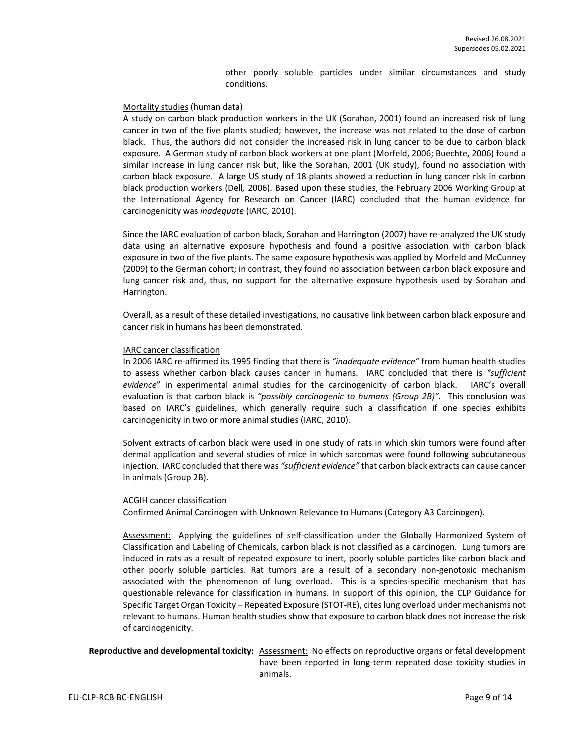other poorly soluble particles under similar circumstances and study conditions.

#### Mortality studies (human data)

A study on carbon black production workers in the UK (Sorahan, 2001) found an increased risk of lung cancer in two of the five plants studied; however, the increase was not related to the dose of carbon black. Thus, the authors did not consider the increased risk in lung cancer to be due to carbon black exposure. A German study of carbon black workers at one plant (Morfeld, 2006; Buechte, 2006) found a similar increase in lung cancer risk but, like the Sorahan, 2001 (UK study), found no association with carbon black exposure. A large US study of 18 plants showed a reduction in lung cancer risk in carbon black production workers (Dell*,* 2006). Based upon these studies, the February 2006 Working Group at the International Agency for Research on Cancer (IARC) concluded that the human evidence for carcinogenicity was *inadequate* (IARC, 2010).

Since the IARC evaluation of carbon black, Sorahan and Harrington (2007) have re-analyzed the UK study data using an alternative exposure hypothesis and found a positive association with carbon black exposure in two of the five plants. The same exposure hypothesis was applied by Morfeld and McCunney (2009) to the German cohort; in contrast, they found no association between carbon black exposure and lung cancer risk and, thus, no support for the alternative exposure hypothesis used by Sorahan and Harrington.

Overall, as a result of these detailed investigations, no causative link between carbon black exposure and cancer risk in humans has been demonstrated.

#### IARC cancer classification

In 2006 IARC re-affirmed its 1995 finding that there is *"inadequate evidence"* from human health studies to assess whether carbon black causes cancer in humans. IARC concluded that there is *"sufficient evidence*" in experimental animal studies for the carcinogenicity of carbon black. IARC's overall evaluation is that carbon black is *"possibly carcinogenic to humans (Group 2B)".* This conclusion was based on IARC's guidelines, which generally require such a classification if one species exhibits carcinogenicity in two or more animal studies (IARC, 2010).

Solvent extracts of carbon black were used in one study of rats in which skin tumors were found after dermal application and several studies of mice in which sarcomas were found following subcutaneous injection. IARC concluded that there was *"sufficient evidence"* that carbon black extracts can cause cancer in animals (Group 2B).

#### ACGIH cancer classification

Confirmed Animal Carcinogen with Unknown Relevance to Humans (Category A3 Carcinogen).

Assessment: Applying the guidelines of self-classification under the Globally Harmonized System of Classification and Labeling of Chemicals, carbon black is not classified as a carcinogen. Lung tumors are induced in rats as a result of repeated exposure to inert, poorly soluble particles like carbon black and other poorly soluble particles. Rat tumors are a result of a secondary non-genotoxic mechanism associated with the phenomenon of lung overload. This is a species-specific mechanism that has questionable relevance for classification in humans. In support of this opinion, the CLP Guidance for Specific Target Organ Toxicity – Repeated Exposure (STOT-RE), cites lung overload under mechanisms not relevant to humans. Human health studies show that exposure to carbon black does not increase the risk of carcinogenicity.

**Reproductive and developmental toxicity:** Assessment: No effects on reproductive organs or fetal development have been reported in long-term repeated dose toxicity studies in animals.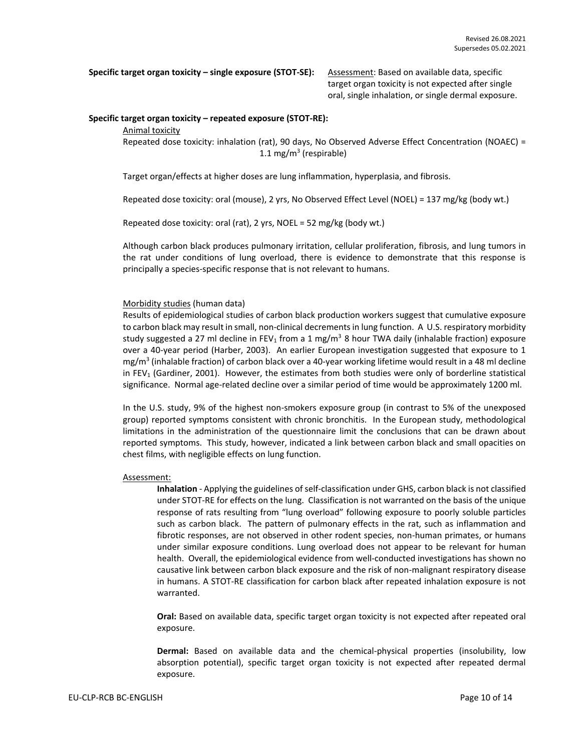**Specific target organ toxicity – single exposure (STOT-SE):** Assessment: Based on available data, specific

target organ toxicity is not expected after single oral, single inhalation, or single dermal exposure.

#### **Specific target organ toxicity – repeated exposure (STOT-RE):**

Animal toxicity

Repeated dose toxicity: inhalation (rat), 90 days, No Observed Adverse Effect Concentration (NOAEC) = 1.1 mg/m<sup>3</sup> (respirable)

Target organ/effects at higher doses are lung inflammation, hyperplasia, and fibrosis.

Repeated dose toxicity: oral (mouse), 2 yrs, No Observed Effect Level (NOEL) = 137 mg/kg (body wt.)

Repeated dose toxicity: oral (rat), 2 yrs, NOEL = 52 mg/kg (body wt.)

Although carbon black produces pulmonary irritation, cellular proliferation, fibrosis, and lung tumors in the rat under conditions of lung overload, there is evidence to demonstrate that this response is principally a species-specific response that is not relevant to humans.

### Morbidity studies (human data)

Results of epidemiological studies of carbon black production workers suggest that cumulative exposure to carbon black may result in small, non-clinical decrements in lung function. A U.S. respiratory morbidity study suggested a 27 ml decline in FEV<sub>1</sub> from a 1 mg/m<sup>3</sup> 8 hour TWA daily (inhalable fraction) exposure over a 40-year period (Harber, 2003). An earlier European investigation suggested that exposure to 1 mg/m<sup>3</sup> (inhalable fraction) of carbon black over a 40-year working lifetime would result in a 48 ml decline in FEV<sub>1</sub> (Gardiner, 2001). However, the estimates from both studies were only of borderline statistical significance. Normal age-related decline over a similar period of time would be approximately 1200 ml.

In the U.S. study, 9% of the highest non-smokers exposure group (in contrast to 5% of the unexposed group) reported symptoms consistent with chronic bronchitis. In the European study, methodological limitations in the administration of the questionnaire limit the conclusions that can be drawn about reported symptoms. This study, however, indicated a link between carbon black and small opacities on chest films, with negligible effects on lung function.

#### Assessment:

**Inhalation** - Applying the guidelines of self-classification under GHS, carbon black is not classified under STOT-RE for effects on the lung. Classification is not warranted on the basis of the unique response of rats resulting from "lung overload" following exposure to poorly soluble particles such as carbon black. The pattern of pulmonary effects in the rat, such as inflammation and fibrotic responses, are not observed in other rodent species, non-human primates, or humans under similar exposure conditions. Lung overload does not appear to be relevant for human health. Overall, the epidemiological evidence from well-conducted investigations has shown no causative link between carbon black exposure and the risk of non-malignant respiratory disease in humans. A STOT-RE classification for carbon black after repeated inhalation exposure is not warranted.

**Oral:** Based on available data, specific target organ toxicity is not expected after repeated oral exposure.

**Dermal:** Based on available data and the chemical-physical properties (insolubility, low absorption potential), specific target organ toxicity is not expected after repeated dermal exposure.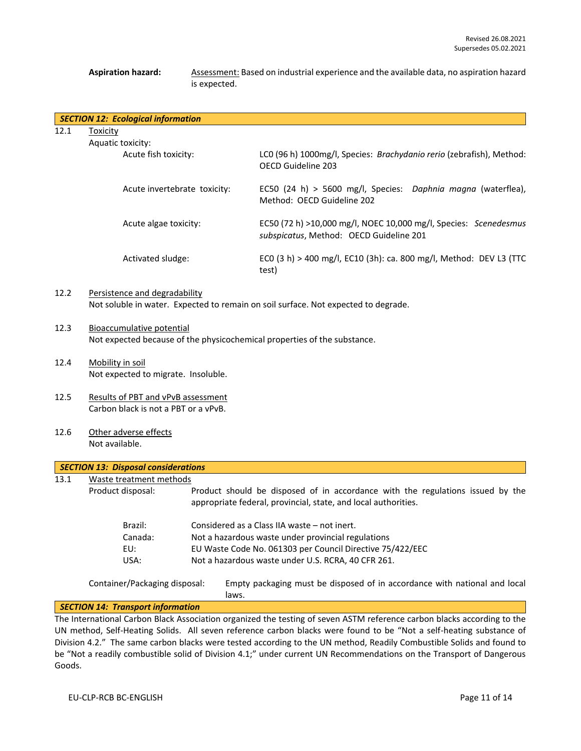### **Aspiration hazard:** Assessment: Based on industrial experience and the available data, no aspiration hazard is expected.

|      | <b>SECTION 12: Ecological information</b> |                                                                                                             |
|------|-------------------------------------------|-------------------------------------------------------------------------------------------------------------|
| 12.1 | Toxicity                                  |                                                                                                             |
|      | Aquatic toxicity:                         |                                                                                                             |
|      | Acute fish toxicity:                      | LCO (96 h) 1000mg/l, Species: Brachydanio rerio (zebrafish), Method:<br>OECD Guideline 203                  |
|      | Acute invertebrate toxicity:              | EC50 (24 h) > 5600 mg/l, Species: Daphnia magna (waterflea),<br>Method: OECD Guideline 202                  |
|      | Acute algae toxicity:                     | EC50 (72 h) >10,000 mg/l, NOEC 10,000 mg/l, Species: Scenedesmus<br>subspicatus, Method: OECD Guideline 201 |
|      | Activated sludge:                         | ECO (3 h) > 400 mg/l, EC10 (3h): ca. 800 mg/l, Method: DEV L3 (TTC<br>test)                                 |
| 12.2 | Persistence and degradability             |                                                                                                             |

# Not soluble in water. Expected to remain on soil surface. Not expected to degrade.

- 12.3 Bioaccumulative potential Not expected because of the physicochemical properties of the substance.
- 12.4 Mobility in soil Not expected to migrate. Insoluble.
- 12.5 Results of PBT and vPvB assessment Carbon black is not a PBT or a vPvB.
- 12.6 Other adverse effects Not available.

|      | <b>SECTION 13: Disposal considerations</b> |                                                                                                                                                  |  |  |  |
|------|--------------------------------------------|--------------------------------------------------------------------------------------------------------------------------------------------------|--|--|--|
| 13.1 | Waste treatment methods                    |                                                                                                                                                  |  |  |  |
|      | Product disposal:                          | Product should be disposed of in accordance with the regulations issued by the<br>appropriate federal, provincial, state, and local authorities. |  |  |  |
|      | Brazil:                                    | Considered as a Class IIA waste – not inert.                                                                                                     |  |  |  |
|      | Canada:                                    | Not a hazardous waste under provincial regulations                                                                                               |  |  |  |
|      | EU:                                        | EU Waste Code No. 061303 per Council Directive 75/422/EEC                                                                                        |  |  |  |
|      | USA:                                       | Not a hazardous waste under U.S. RCRA, 40 CFR 261.                                                                                               |  |  |  |
|      | Container/Packaging disposal:              | Empty packaging must be disposed of in accordance with national and local<br>laws.                                                               |  |  |  |
|      | <b>SECTION 14: Transport information</b>   |                                                                                                                                                  |  |  |  |

The International Carbon Black Association organized the testing of seven ASTM reference carbon blacks according to the UN method, Self-Heating Solids. All seven reference carbon blacks were found to be "Not a self-heating substance of Division 4.2." The same carbon blacks were tested according to the UN method, Readily Combustible Solids and found to be "Not a readily combustible solid of Division 4.1;" under current UN Recommendations on the Transport of Dangerous Goods.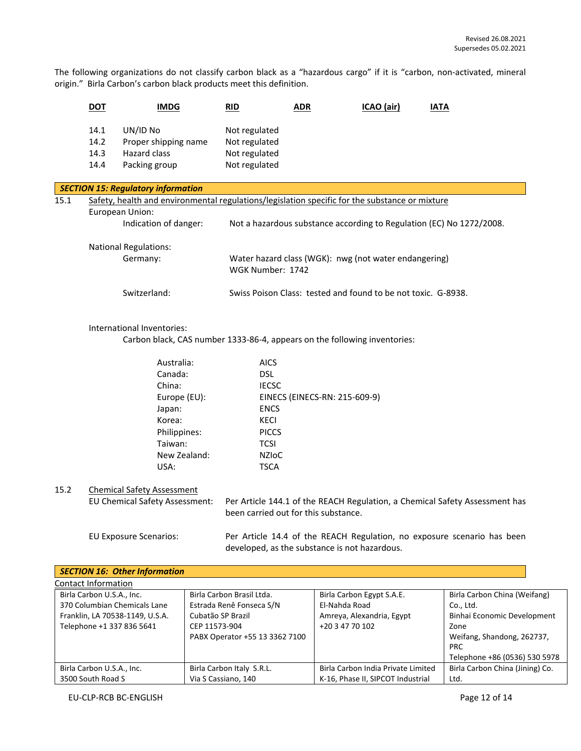The following organizations do not classify carbon black as a "hazardous cargo" if it is "carbon, non-activated, mineral origin." Birla Carbon's carbon black products meet this definition.

|      | <b>DOT</b>                   | <b>IMDG</b>                                                                                    |  | <b>RID</b>                                                                  | <b>ADR</b> |                               | ICAO (air)                                                    | <b>IATA</b> |                                                                      |
|------|------------------------------|------------------------------------------------------------------------------------------------|--|-----------------------------------------------------------------------------|------------|-------------------------------|---------------------------------------------------------------|-------------|----------------------------------------------------------------------|
|      | 14.1<br>14.2<br>14.3<br>14.4 | UN/ID No<br>Proper shipping name<br>Hazard class<br>Packing group                              |  | Not regulated<br>Not regulated<br>Not regulated<br>Not regulated            |            |                               |                                                               |             |                                                                      |
|      |                              | <b>SECTION 15: Regulatory information</b>                                                      |  |                                                                             |            |                               |                                                               |             |                                                                      |
| 15.1 |                              | Safety, health and environmental regulations/legislation specific for the substance or mixture |  |                                                                             |            |                               |                                                               |             |                                                                      |
|      |                              | European Union:                                                                                |  |                                                                             |            |                               |                                                               |             |                                                                      |
|      |                              | Indication of danger:                                                                          |  |                                                                             |            |                               |                                                               |             | Not a hazardous substance according to Regulation (EC) No 1272/2008. |
|      |                              |                                                                                                |  |                                                                             |            |                               |                                                               |             |                                                                      |
|      |                              | <b>National Regulations:</b>                                                                   |  |                                                                             |            |                               |                                                               |             |                                                                      |
|      |                              | Germany:                                                                                       |  | Water hazard class (WGK): nwg (not water endangering)<br>WGK Number: 1742   |            |                               |                                                               |             |                                                                      |
|      |                              |                                                                                                |  |                                                                             |            |                               |                                                               |             |                                                                      |
|      |                              | Switzerland:                                                                                   |  |                                                                             |            |                               | Swiss Poison Class: tested and found to be not toxic. G-8938. |             |                                                                      |
|      |                              |                                                                                                |  |                                                                             |            |                               |                                                               |             |                                                                      |
|      |                              | International Inventories:                                                                     |  |                                                                             |            |                               |                                                               |             |                                                                      |
|      |                              |                                                                                                |  | Carbon black, CAS number 1333-86-4, appears on the following inventories:   |            |                               |                                                               |             |                                                                      |
|      |                              |                                                                                                |  |                                                                             |            |                               |                                                               |             |                                                                      |
|      |                              | Australia:                                                                                     |  | <b>AICS</b>                                                                 |            |                               |                                                               |             |                                                                      |
|      |                              | Canada:                                                                                        |  | <b>DSL</b>                                                                  |            |                               |                                                               |             |                                                                      |
|      |                              | China:                                                                                         |  | <b>IECSC</b>                                                                |            |                               |                                                               |             |                                                                      |
|      |                              | Europe (EU):                                                                                   |  |                                                                             |            | EINECS (EINECS-RN: 215-609-9) |                                                               |             |                                                                      |
|      |                              | Japan:                                                                                         |  | <b>ENCS</b>                                                                 |            |                               |                                                               |             |                                                                      |
|      |                              | Korea:                                                                                         |  | <b>KECI</b>                                                                 |            |                               |                                                               |             |                                                                      |
|      |                              | Philippines:                                                                                   |  | <b>PICCS</b>                                                                |            |                               |                                                               |             |                                                                      |
|      |                              | Taiwan:                                                                                        |  | <b>TCSI</b>                                                                 |            |                               |                                                               |             |                                                                      |
|      |                              | New Zealand:                                                                                   |  | <b>NZIOC</b>                                                                |            |                               |                                                               |             |                                                                      |
|      |                              | USA:                                                                                           |  | <b>TSCA</b>                                                                 |            |                               |                                                               |             |                                                                      |
| 15.2 |                              | <b>Chemical Safety Assessment</b>                                                              |  |                                                                             |            |                               |                                                               |             |                                                                      |
|      |                              | EU Chemical Safety Assessment:                                                                 |  | Per Article 144.1 of the REACH Regulation, a Chemical Safety Assessment has |            |                               |                                                               |             |                                                                      |
|      |                              |                                                                                                |  | been carried out for this substance.                                        |            |                               |                                                               |             |                                                                      |
|      |                              |                                                                                                |  |                                                                             |            |                               |                                                               |             |                                                                      |
|      |                              | <b>EU Exposure Scenarios:</b>                                                                  |  | Per Article 14.4 of the REACH Regulation, no exposure scenario has been     |            |                               |                                                               |             |                                                                      |
|      |                              |                                                                                                |  | developed, as the substance is not hazardous.                               |            |                               |                                                               |             |                                                                      |
|      |                              | <b>SECTION 16: Other Information</b>                                                           |  |                                                                             |            |                               |                                                               |             |                                                                      |
|      | <b>Contact Information</b>   |                                                                                                |  |                                                                             |            |                               |                                                               |             |                                                                      |
|      | Birla Carbon U.S.A., Inc.    |                                                                                                |  | Birla Carbon Brasil Ltda.                                                   |            |                               | Birla Carbon Egypt S.A.E.                                     |             | Birla Carbon China (Weifang)                                         |
|      |                              | 270 Columbian Chamicals Lano                                                                   |  | Estrada Ponô Eonsoca S/N                                                    |            | El Nobdo Pood                 |                                                               |             | $C_2$ $H_4$                                                          |

| 370 Columbian Chemicals Lane    | Estrada Renê Fonseca S/N       | El-Nahda Road                      | Co Ltd.                         |
|---------------------------------|--------------------------------|------------------------------------|---------------------------------|
| Franklin, LA 70538-1149, U.S.A. | Cubatão SP Brazil              | Amreya, Alexandria, Egypt          | Binhai Economic Development     |
| Telephone +1 337 836 5641       | CEP 11573-904                  | +20 3 47 70 102                    | Zone                            |
|                                 | PABX Operator +55 13 3362 7100 |                                    | Weifang, Shandong, 262737,      |
|                                 |                                |                                    | <b>PRC</b>                      |
|                                 |                                |                                    | Telephone +86 (0536) 530 5978   |
| Birla Carbon U.S.A., Inc.       | Birla Carbon Italy S.R.L.      | Birla Carbon India Private Limited | Birla Carbon China (Jining) Co. |
| 3500 South Road S               | Via S Cassiano, 140            | K-16, Phase II, SIPCOT Industrial  | Ltd.                            |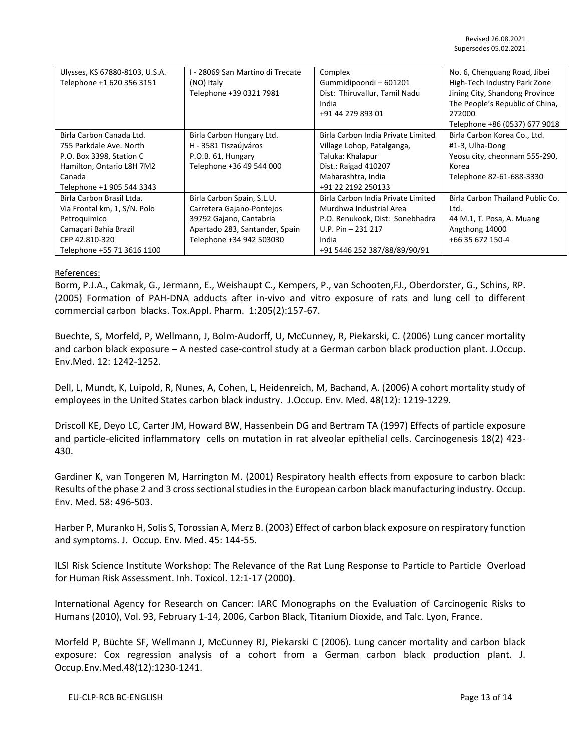| Ulysses, KS 67880-8103, U.S.A. | l - 28069 San Martino di Trecate | Complex                            | No. 6, Chenguang Road, Jibei     |
|--------------------------------|----------------------------------|------------------------------------|----------------------------------|
| Telephone +1 620 356 3151      | (NO) Italy                       | Gummidipoondi-601201               | High-Tech Industry Park Zone     |
|                                | Telephone +39 0321 7981          | Dist: Thiruvallur, Tamil Nadu      | Jining City, Shandong Province   |
|                                |                                  | India                              | The People's Republic of China,  |
|                                |                                  | +91 44 279 893 01                  | 272000                           |
|                                |                                  |                                    | Telephone +86 (0537) 677 9018    |
| Birla Carbon Canada Ltd.       | Birla Carbon Hungary Ltd.        | Birla Carbon India Private Limited | Birla Carbon Korea Co., Ltd.     |
| 755 Parkdale Ave. North        | H - 3581 Tiszaújváros            | Village Lohop, Patalganga,         | #1-3, Ulha-Dong                  |
| P.O. Box 3398, Station C       | P.O.B. 61, Hungary               | Taluka: Khalapur                   | Yeosu city, cheonnam 555-290,    |
| Hamilton, Ontario L8H 7M2      | Telephone +36 49 544 000         | Dist.: Raigad 410207               | Korea                            |
| Canada                         |                                  | Maharashtra, India                 | Telephone 82-61-688-3330         |
| Telephone +1 905 544 3343      |                                  | +91 22 2192 250133                 |                                  |
| Birla Carbon Brasil Ltda.      | Birla Carbon Spain, S.L.U.       | Birla Carbon India Private Limited | Birla Carbon Thailand Public Co. |
| Via Frontal km, 1, S/N. Polo   | Carretera Gajano-Pontejos        | Murdhwa Industrial Area            | Ltd.                             |
| Petroquimico                   | 39792 Gajano, Cantabria          | P.O. Renukook, Dist: Sonebhadra    | 44 M.1, T. Posa, A. Muang        |
| Camaçari Bahia Brazil          | Apartado 283, Santander, Spain   | U.P. Pin $-$ 231 217               | Angthong 14000                   |
| CEP 42.810-320                 | Telephone +34 942 503030         | India                              | +66 35 672 150-4                 |
| Telephone +55 71 3616 1100     |                                  | +91 5446 252 387/88/89/90/91       |                                  |

### References:

Borm, P.J.A., Cakmak, G., Jermann, E., Weishaupt C., Kempers, P., van Schooten,FJ., Oberdorster, G., Schins, RP. (2005) Formation of PAH-DNA adducts after in-vivo and vitro exposure of rats and lung cell to different commercial carbon blacks. Tox.Appl. Pharm. 1:205(2):157-67.

Buechte, S, Morfeld, P, Wellmann, J, Bolm-Audorff, U, McCunney, R, Piekarski, C. (2006) Lung cancer mortality and carbon black exposure – A nested case-control study at a German carbon black production plant. J.Occup. Env.Med. 12: 1242-1252.

Dell, L, Mundt, K, Luipold, R, Nunes, A, Cohen, L, Heidenreich, M, Bachand, A. (2006) A cohort mortality study of employees in the United States carbon black industry. J.Occup. Env. Med. 48(12): 1219-1229.

Driscoll KE, Deyo LC, Carter JM, Howard BW, Hassenbein DG and Bertram TA (1997) Effects of particle exposure and particle-elicited inflammatory cells on mutation in rat alveolar epithelial cells. Carcinogenesis 18(2) 423- 430.

Gardiner K, van Tongeren M, Harrington M. (2001) Respiratory health effects from exposure to carbon black: Results of the phase 2 and 3 cross sectional studies in the European carbon black manufacturing industry. Occup. Env. Med. 58: 496-503.

Harber P, Muranko H, Solis S, Torossian A, Merz B. (2003) Effect of carbon black exposure on respiratory function and symptoms. J. Occup. Env. Med. 45: 144-55.

ILSI Risk Science Institute Workshop: The Relevance of the Rat Lung Response to Particle to Particle Overload for Human Risk Assessment. Inh. Toxicol. 12:1-17 (2000).

International Agency for Research on Cancer: IARC Monographs on the Evaluation of Carcinogenic Risks to Humans (2010), Vol. 93, February 1-14, 2006, Carbon Black, Titanium Dioxide, and Talc. Lyon, France.

Morfeld P, Büchte SF, Wellmann J, McCunney RJ, Piekarski C (2006). Lung cancer mortality and carbon black exposure: Cox regression analysis of a cohort from a German carbon black production plant. J. Occup.Env.Med.48(12):1230-1241.